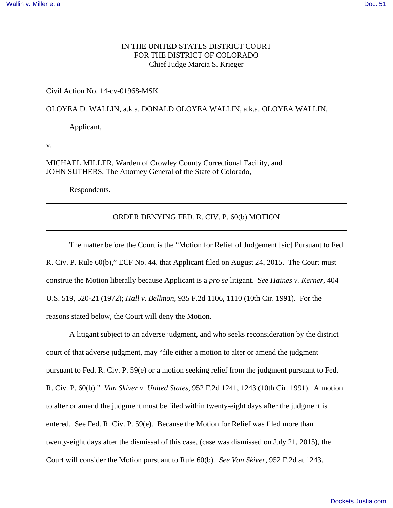# IN THE UNITED STATES DISTRICT COURT FOR THE DISTRICT OF COLORADO Chief Judge Marcia S. Krieger

## Civil Action No. 14-cv-01968-MSK

## OLOYEA D. WALLIN, a.k.a. DONALD OLOYEA WALLIN, a.k.a. OLOYEA WALLIN,

Applicant,

v.

MICHAEL MILLER, Warden of Crowley County Correctional Facility, and JOHN SUTHERS, The Attorney General of the State of Colorado,

Respondents.

## ORDER DENYING FED. R. CIV. P. 60(b) MOTION

The matter before the Court is the "Motion for Relief of Judgement [sic] Pursuant to Fed. R. Civ. P. Rule 60(b)," ECF No. 44, that Applicant filed on August 24, 2015. The Court must construe the Motion liberally because Applicant is a *pro se* litigant. *See Haines v. Kerner*, 404 U.S. 519, 520-21 (1972); *Hall v. Bellmon*, 935 F.2d 1106, 1110 (10th Cir. 1991). For the reasons stated below, the Court will deny the Motion.

 A litigant subject to an adverse judgment, and who seeks reconsideration by the district court of that adverse judgment, may "file either a motion to alter or amend the judgment pursuant to Fed. R. Civ. P. 59(e) or a motion seeking relief from the judgment pursuant to Fed. R. Civ. P. 60(b)." *Van Skiver v. United States*, 952 F.2d 1241, 1243 (10th Cir. 1991). A motion to alter or amend the judgment must be filed within twenty-eight days after the judgment is entered. See Fed. R. Civ. P. 59(e). Because the Motion for Relief was filed more than twenty-eight days after the dismissal of this case, (case was dismissed on July 21, 2015), the Court will consider the Motion pursuant to Rule 60(b). *See Van Skiver*, 952 F.2d at 1243.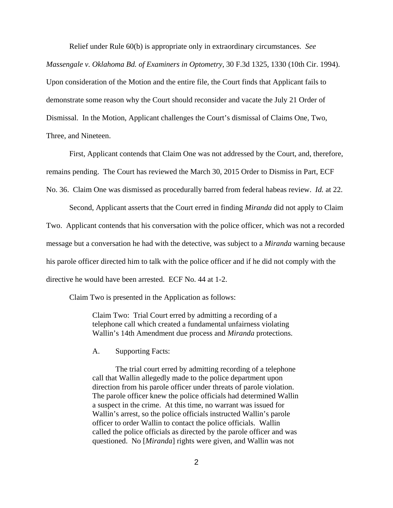Relief under Rule 60(b) is appropriate only in extraordinary circumstances. *See Massengale v. Oklahoma Bd. of Examiners in Optometry*, 30 F.3d 1325, 1330 (10th Cir. 1994). Upon consideration of the Motion and the entire file, the Court finds that Applicant fails to demonstrate some reason why the Court should reconsider and vacate the July 21 Order of Dismissal. In the Motion, Applicant challenges the Court's dismissal of Claims One, Two, Three, and Nineteen.

First, Applicant contends that Claim One was not addressed by the Court, and, therefore, remains pending. The Court has reviewed the March 30, 2015 Order to Dismiss in Part, ECF No. 36. Claim One was dismissed as procedurally barred from federal habeas review. *Id.* at 22.

Second, Applicant asserts that the Court erred in finding *Miranda* did not apply to Claim Two. Applicant contends that his conversation with the police officer, which was not a recorded message but a conversation he had with the detective, was subject to a *Miranda* warning because his parole officer directed him to talk with the police officer and if he did not comply with the directive he would have been arrested. ECF No. 44 at 1-2.

Claim Two is presented in the Application as follows:

Claim Two: Trial Court erred by admitting a recording of a telephone call which created a fundamental unfairness violating Wallin's 14th Amendment due process and *Miranda* protections.

A. Supporting Facts:

The trial court erred by admitting recording of a telephone call that Wallin allegedly made to the police department upon direction from his parole officer under threats of parole violation. The parole officer knew the police officials had determined Wallin a suspect in the crime. At this time, no warrant was issued for Wallin's arrest, so the police officials instructed Wallin's parole officer to order Wallin to contact the police officials. Wallin called the police officials as directed by the parole officer and was questioned. No [*Miranda*] rights were given, and Wallin was not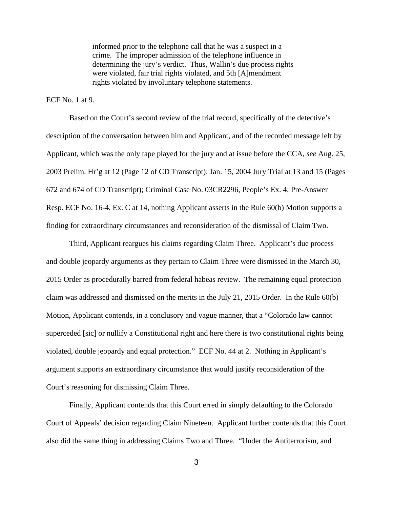informed prior to the telephone call that he was a suspect in a crime. The improper admission of the telephone influence in determining the jury's verdict. Thus, Wallin's due process rights were violated, fair trial rights violated, and 5th [A]mendment rights violated by involuntary telephone statements.

#### $ECF No. 1$  at 9.

Based on the Court's second review of the trial record, specifically of the detective's description of the conversation between him and Applicant, and of the recorded message left by Applicant, which was the only tape played for the jury and at issue before the CCA, *see* Aug. 25, 2003 Prelim. Hr'g at 12 (Page 12 of CD Transcript); Jan. 15, 2004 Jury Trial at 13 and 15 (Pages 672 and 674 of CD Transcript); Criminal Case No. 03CR2296, People's Ex. 4; Pre-Answer Resp. ECF No. 16-4, Ex. C at 14, nothing Applicant asserts in the Rule 60(b) Motion supports a finding for extraordinary circumstances and reconsideration of the dismissal of Claim Two.

Third, Applicant reargues his claims regarding Claim Three. Applicant's due process and double jeopardy arguments as they pertain to Claim Three were dismissed in the March 30, 2015 Order as procedurally barred from federal habeas review. The remaining equal protection claim was addressed and dismissed on the merits in the July 21, 2015 Order. In the Rule 60(b) Motion, Applicant contends, in a conclusory and vague manner, that a "Colorado law cannot superceded [sic] or nullify a Constitutional right and here there is two constitutional rights being violated, double jeopardy and equal protection." ECF No. 44 at 2. Nothing in Applicant's argument supports an extraordinary circumstance that would justify reconsideration of the Court's reasoning for dismissing Claim Three.

Finally, Applicant contends that this Court erred in simply defaulting to the Colorado Court of Appeals' decision regarding Claim Nineteen. Applicant further contends that this Court also did the same thing in addressing Claims Two and Three. "Under the Antiterrorism, and

3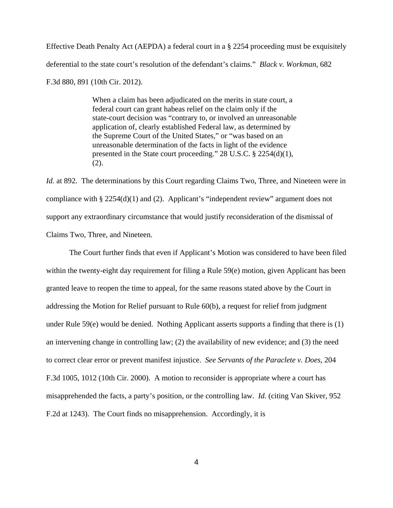Effective Death Penalty Act (AEPDA) a federal court in a § 2254 proceeding must be exquisitely deferential to the state court's resolution of the defendant's claims." *Black v. Workman*, 682

F.3d 880, 891 (10th Cir. 2012).

When a claim has been adjudicated on the merits in state court, a federal court can grant habeas relief on the claim only if the state-court decision was "contrary to, or involved an unreasonable application of, clearly established Federal law, as determined by the Supreme Court of the United States," or "was based on an unreasonable determination of the facts in light of the evidence presented in the State court proceeding." 28 U.S.C. § 2254(d)(1), (2).

*Id.* at 892. The determinations by this Court regarding Claims Two, Three, and Nineteen were in compliance with § 2254(d)(1) and (2). Applicant's "independent review" argument does not support any extraordinary circumstance that would justify reconsideration of the dismissal of Claims Two, Three, and Nineteen.

The Court further finds that even if Applicant's Motion was considered to have been filed within the twenty-eight day requirement for filing a Rule 59(e) motion, given Applicant has been granted leave to reopen the time to appeal, for the same reasons stated above by the Court in addressing the Motion for Relief pursuant to Rule 60(b), a request for relief from judgment under Rule 59(e) would be denied. Nothing Applicant asserts supports a finding that there is (1) an intervening change in controlling law; (2) the availability of new evidence; and (3) the need to correct clear error or prevent manifest injustice. *See Servants of the Paraclete v. Does*, 204 F.3d 1005, 1012 (10th Cir. 2000). A motion to reconsider is appropriate where a court has misapprehended the facts, a party's position, or the controlling law. *Id.* (citing Van Skiver, 952 F.2d at 1243). The Court finds no misapprehension. Accordingly, it is

4